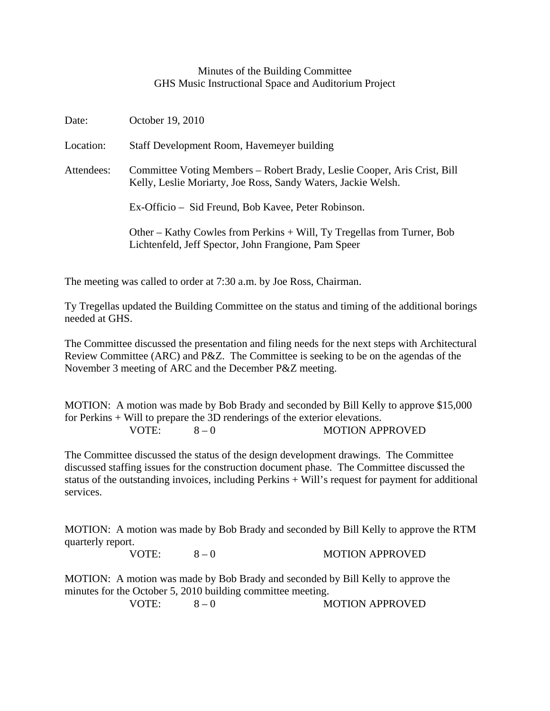## Minutes of the Building Committee GHS Music Instructional Space and Auditorium Project

| Date:      | October 19, 2010                                                                                                                          |
|------------|-------------------------------------------------------------------------------------------------------------------------------------------|
| Location:  | Staff Development Room, Havemeyer building                                                                                                |
| Attendees: | Committee Voting Members – Robert Brady, Leslie Cooper, Aris Crist, Bill<br>Kelly, Leslie Moriarty, Joe Ross, Sandy Waters, Jackie Welsh. |
|            | Ex-Officio – Sid Freund, Bob Kavee, Peter Robinson.                                                                                       |
|            | Other – Kathy Cowles from Perkins + Will, Ty Tregellas from Turner, Bob<br>Lichtenfeld, Jeff Spector, John Frangione, Pam Speer           |

The meeting was called to order at 7:30 a.m. by Joe Ross, Chairman.

Ty Tregellas updated the Building Committee on the status and timing of the additional borings needed at GHS.

The Committee discussed the presentation and filing needs for the next steps with Architectural Review Committee (ARC) and P&Z. The Committee is seeking to be on the agendas of the November 3 meeting of ARC and the December P&Z meeting.

MOTION: A motion was made by Bob Brady and seconded by Bill Kelly to approve \$15,000 for Perkins + Will to prepare the 3D renderings of the exterior elevations. VOTE:  $8-0$  MOTION APPROVED

The Committee discussed the status of the design development drawings. The Committee discussed staffing issues for the construction document phase. The Committee discussed the status of the outstanding invoices, including Perkins + Will's request for payment for additional services.

MOTION: A motion was made by Bob Brady and seconded by Bill Kelly to approve the RTM quarterly report.

VOTE:  $8-0$  MOTION APPROVED

MOTION: A motion was made by Bob Brady and seconded by Bill Kelly to approve the minutes for the October 5, 2010 building committee meeting.

VOTE:  $8-0$  MOTION APPROVED